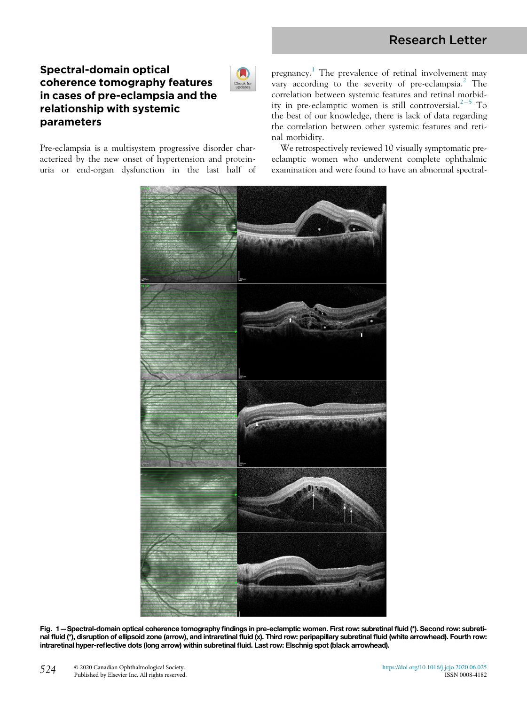## Research Letter

### Spectral-domain optical coherence tomography features in cases of pre-eclampsia and the relationship with systemic parameters

<span id="page-0-0"></span>Pre-eclampsia is a multisystem progressive disorder characterized by the new onset of hypertension and proteinuria or end-organ dysfunction in the last half of pregnancy.<sup>[1](#page-2-0)</sup> The prevalence of retinal involvement may vary according to the severity of pre-eclampsia.<sup>[2](#page-2-1)</sup> The correlation between systemic features and retinal morbid-ity in pre-eclamptic women is still controversial.<sup>[2](#page-2-1)-[5](#page-2-1)</sup> To the best of our knowledge, there is lack of data regarding the correlation between other systemic features and retinal morbidity.

We retrospectively reviewed 10 visually symptomatic preeclamptic women who underwent complete ophthalmic examination and were found to have an abnormal spectral-



Check fo

Fig. 1—Spectral-domain optical coherence tomography findings in pre-eclamptic women. First row: subretinal fluid (\*). Second row: subretinal fluid (\*), disruption of ellipsoid zone (arrow), and intraretinal fluid (x). Third row: peripapillary subretinal fluid (white arrowhead). Fourth row: intraretinal hyper-reflective dots (long arrow) within subretinal fluid. Last row: Elschnig spot (black arrowhead).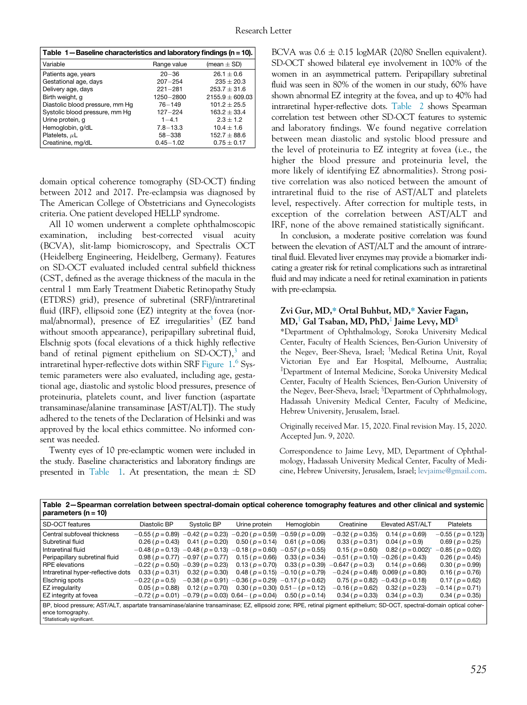<span id="page-1-0"></span>

| Table 1-Baseline characteristics and laboratory findings (n = 10). |             |                 |
|--------------------------------------------------------------------|-------------|-----------------|
| l Variable                                                         | Range value | (mean $\pm$ SD) |

| Variable                        | Range value   | (mean $\pm$ SD)     |
|---------------------------------|---------------|---------------------|
| Patients age, years             | $20 - 36$     | $26.1 \pm 0.6$      |
| Gestational age, days           | $207 - 254$   | $235 + 20.3$        |
| Delivery age, days              | $221 - 281$   | $253.7 \pm 31.6$    |
| Birth weight, g                 | 1250 - 2800   | $2155.9 \pm 609.03$ |
| Diastolic blood pressure, mm Hq | $76 - 149$    | $101.2 + 25.5$      |
| Systolic blood pressure, mm Hq  | $127 - 224$   | $163.2 + 33.4$      |
| Urine protein, q                | $1 - 4.1$     | $2.3 + 1.2$         |
| Hemoglobin, g/dL                | $7.8 - 13.3$  | $10.4 + 1.6$        |
| Platelets, $\mu$ L              | $58 - 338$    | $152.7 \pm 88.6$    |
| Creatinine, mg/dL               | $0.45 - 1.02$ | $0.75 \pm 0.17$     |

domain optical coherence tomography (SD-OCT) finding between 2012 and 2017. Pre-eclampsia was diagnosed by The American College of Obstetricians and Gynecologists criteria. One patient developed HELLP syndrome.

All 10 women underwent a complete ophthalmoscopic examination, including best-corrected visual acuity (BCVA), slit-lamp biomicroscopy, and Spectralis OCT (Heidelberg Engineering, Heidelberg, Germany). Features on SD-OCT evaluated included central subfield thickness (CST, defined as the average thickness of the macula in the central 1 mm Early Treatment Diabetic Retinopathy Study (ETDRS) grid), presence of subretinal (SRF)/intraretinal fluid (IRF), ellipsoid zone (EZ) integrity at the fovea (nor-mal/abnormal), presence of EZ irregularities<sup>[3](#page-2-2)</sup> (EZ band without smooth appearance), peripapillary subretinal fluid, Elschnig spots (focal elevations of a thick highly reflective band of retinal pigment epithelium on SD-OCT), $3$  and intraretinal hyper-reflective dots within SRF [Figure 1.](#page-0-0) [6](#page-2-3) Systemic parameters were also evaluated, including age, gestational age, diastolic and systolic blood pressures, presence of proteinuria, platelets count, and liver function (aspartate transaminase/alanine transaminase [AST/ALT]). The study adhered to the tenets of the Declaration of Helsinki and was approved by the local ethics committee. No informed consent was needed.

Twenty eyes of 10 pre-eclamptic women were included in the study. Baseline characteristics and laboratory findings are presented in [Table 1](#page-1-0). At presentation, the mean  $\pm$  SD BCVA was  $0.6 \pm 0.15$  logMAR (20/80 Snellen equivalent). SD-OCT showed bilateral eye involvement in 100% of the women in an asymmetrical pattern. Peripapillary subretinal fluid was seen in 80% of the women in our study, 60% have shown abnormal EZ integrity at the fovea, and up to 40% had intraretinal hyper-reflective dots. [Table 2](#page-1-1) shows Spearman correlation test between other SD-OCT features to systemic and laboratory findings. We found negative correlation between mean diastolic and systolic blood pressure and the level of proteinuria to EZ integrity at fovea (i.e., the higher the blood pressure and proteinuria level, the more likely of identifying EZ abnormalities). Strong positive correlation was also noticed between the amount of intraretinal fluid to the rise of AST/ALT and platelets level, respectively. After correction for multiple tests, in exception of the correlation between AST/ALT and IRF, none of the above remained statistically significant.

In conclusion, a moderate positive correlation was found between the elevation of AST/ALT and the amount of intraretinal fluid. Elevated liver enzymes may provide a biomarker indicating a greater risk for retinal complications such as intraretinal fluid and may indicate a need for retinal examination in patients with pre-eclampsia.

# $MD,^\dagger$  Gal Tsaban, MD, PhD, $^\dagger$  Jaime Levy, MD $^\circ$ <br>\*Department of Ophthalmology, Soroka University M

\*Department of Ophthalmology, Soroka University Medical Center, Faculty of Health Sciences, Ben-Gurion University of the Negev, Beer-Sheva, Israel; <sup>†</sup>Medical Retina Unit, Royal Victorian Eye and Ear Hospital, Melbourne, Australia; <sup>‡</sup>Department of Internal Medicine, Soroka University Medical Center, Faculty of Health Sciences, Ben-Gurion University of the Negev, Beer-Sheva, Israel; <sup>§</sup>Department of Ophthalmology, Hadassah University Medical Center, Faculty of Medicine, Hebrew University, Jerusalem, Israel.

Originally received Mar. 15, 2020. Final revision May. 15, 2020. Accepted Jun. 9, 2020.

Correspondence to Jaime Levy, MD, Department of Ophthalmology, Hadassah University Medical Center, Faculty of Medicine, Hebrew University, Jerusalem, Israel; [levjaime@gmail.com](mailto:levjaime@gmail.com).

<span id="page-1-1"></span>Table 2—Spearman correlation between spectral-domain optical coherence tomography features and other clinical and systemic parameters (n = 10)

| SD-OCT features                                                                                                                                                                           | Diastolic BP          | Systolic BP                                                          | Urine protein         | Hemoglobin                                                                                  | Creatinine             | Elevated AST/ALT                              | Platelets               |
|-------------------------------------------------------------------------------------------------------------------------------------------------------------------------------------------|-----------------------|----------------------------------------------------------------------|-----------------------|---------------------------------------------------------------------------------------------|------------------------|-----------------------------------------------|-------------------------|
| Central subfoveal thickness                                                                                                                                                               |                       |                                                                      |                       | $-0.55$ ( $p = 0.89$ ) $-0.42$ ( $p = 0.23$ ) $-0.20$ ( $p = 0.59$ ) $-0.59$ ( $p = 0.09$ ) | $-0.32$ ( $p = 0.35$ ) | $0.14$ ( $p = 0.69$ )                         | $-0.55$ ( $p = 0.123$ ) |
| Subretinal fluid                                                                                                                                                                          | $0.26$ ( $p = 0.43$ ) | $0.41$ ( $p = 0.20$ )                                                | $0.50$ ( $p = 0.14$ ) | $0.61$ ( $p = 0.06$ )                                                                       | $0.33(p=0.31)$         | $0.04$ ( $p = 0.9$ )                          | $0.69$ ( $p = 0.25$ )   |
| I Intraretinal fluid                                                                                                                                                                      |                       | $-0.48$ ( $p = 0.13$ ) $-0.48$ ( $p = 0.13$ ) $-0.18$ ( $p = 0.60$ ) |                       | $-0.57$ ( $p = 0.55$ )                                                                      | $0.15(p=0.60)$         | $0.82$ ( $p = 0.002$ ) <sup>*</sup>           | $-0.85$ ( $p = 0.02$ )  |
| Peripapillary subretinal fluid                                                                                                                                                            |                       | $0.98$ ( $p = 0.77$ ) $-0.97$ ( $p = 0.77$ )                         | $0.15(p=0.66)$        | $0.33$ ( $p = 0.34$ )                                                                       |                        | $-0.51$ ( $p = 0.10$ ) $-0.26$ ( $p = 0.43$ ) | $0.26$ ( $p = 0.45$ )   |
| <b>RPE</b> elevations                                                                                                                                                                     |                       | $-0.22$ ( $p = 0.50$ ) $-0.39$ ( $p = 0.23$ ) 0.13 ( $p = 0.70$ )    |                       | $0.33$ ( $p = 0.39$ )                                                                       | $-0.647$ ( $p = 0.3$ ) | $0.14$ ( $p = 0.66$ )                         | $0.30$ ( $p = 0.99$ )   |
| Intraretinal hyper-reflective dots                                                                                                                                                        | $0.33$ ( $p = 0.31$ ) | $0.32$ ( $p = 0.30$ )                                                |                       | $0.48$ ( $p = 0.15$ ) $-0.10$ ( $p = 0.79$ )                                                |                        | $-0.24$ ( $p = 0.48$ ) 0.069 ( $p = 0.80$ )   | $0.16$ ( $p = 0.76$ )   |
| <b>Elschnig spots</b>                                                                                                                                                                     | $-0.22$ ( $p = 0.5$ ) |                                                                      |                       | $-0.38$ ( $p = 0.91$ ) $-0.36$ ( $p = 0.29$ ) $-0.17$ ( $p = 0.62$ )                        |                        | $0.75$ ( $p = 0.82$ ) $-0.43$ ( $p = 0.18$ )  | $0.17$ ( $p = 0.62$ )   |
| EZ irregularity                                                                                                                                                                           | $0.05$ ( $p = 0.88$ ) | $0.12$ ( $p = 0.70$ )                                                |                       | $0.30$ ( $p = 0.30$ ) $0.51 - (p = 0.12)$                                                   | $-0.16$ ( $p = 0.62$ ) | $0.32$ ( $p = 0.23$ )                         | $-0.14$ ( $p = 0.71$ )  |
| EZ integrity at fovea                                                                                                                                                                     |                       |                                                                      |                       | $-0.72$ ( $p = 0.01$ ) $-0.79$ ( $p = 0.03$ ) $0.64 - (p = 0.04)$ 0.50 ( $p = 0.14$ )       | $0.34$ ( $p = 0.33$ )  | $0.34$ ( $p = 0.3$ )                          | $0.34$ ( $p = 0.35$ )   |
| BP, blood pressure; AST/ALT, aspartate transaminase/alanine transaminase; EZ, ellipsoid zone; RPE, retinal pigment epithelium; SD-OCT, spectral-domain optical coher-<br>ence tomography. |                       |                                                                      |                       |                                                                                             |                        |                                               |                         |

<span id="page-1-2"></span>\*Statistically significant.